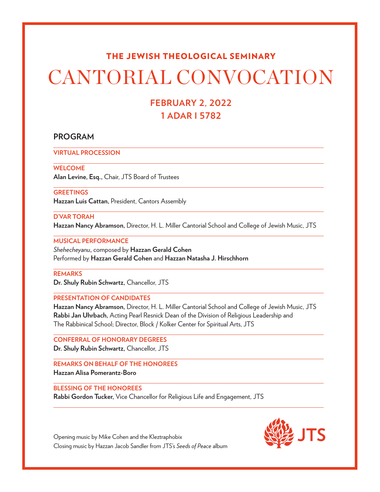#### THE JEWISH THEOLOGICAL SEMINARY

# CANTORIAL CONVOCATION

### **FEBRUARY 2, 2022 1 ADAR I 5782**

#### **PROGRAM**

**VIRTUAL PROCESSION**

#### **WELCOME**

**Alan Levine, Esq.,** Chair, JTS Board of Trustees

#### **GREETINGS**

**Hazzan Luis Cattan,** President, Cantors Assembly

#### **D'VAR TORAH**

**Hazzan Nancy Abramson,** Director, H. L. Miller Cantorial School and College of Jewish Music, JTS

#### **MUSICAL PERFORMANCE**

*Shehecheyanu***,** composed by **Hazzan Gerald Cohen** Performed by **Hazzan Gerald Cohen** and **Hazzan Natasha J. Hirschhorn** 

#### **REMARKS**

**Dr. Shuly Rubin Schwartz,** Chancellor, JTS

#### **PRESENTATION OF CANDIDATES**

**Hazzan Nancy Abramson,** Director, H. L. Miller Cantorial School and College of Jewish Music, JTS **Rabbi Jan Uhrbach,** Acting Pearl Resnick Dean of the Division of Religious Leadership and The Rabbinical School; Director, Block / Kolker Center for Spiritual Arts, JTS

**CONFERRAL OF HONORARY DEGREES Dr. Shuly Rubin Schwartz,** Chancellor, JTS

**REMARKS ON BEHALF OF THE HONOREES Hazzan Alisa Pomerantz-Boro**

#### **BLESSING OF THE HONOREES**

**Rabbi Gordon Tucker,** Vice Chancellor for Religious Life and Engagement, JTS



Opening music by Mike Cohen and the Kleztraphobix Closing music by Hazzan Jacob Sandler from JTS's *Seeds of Peace* album